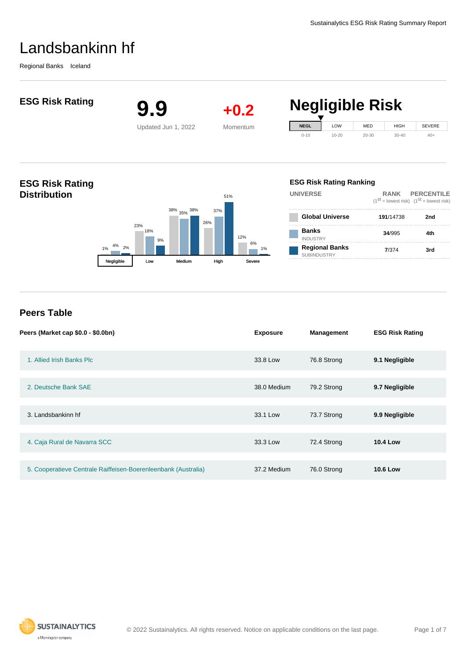Regional Banks Iceland



2. Deutsche Bank SAE 38.0 Medium 79.2 Strong **9.7 Negligible**

3. Landsbankinn hf 33.1 Low 73.7 Strong **9.9 Negligible**

4. Caja Rural de Navarra SCC 33.3 Low 72.4 Strong **10.4 Low**

5. Cooperatieve Centrale Raiffeisen-Boerenleenbank (Australia) 37.2 Medium 76.0 Strong **10.6 Low**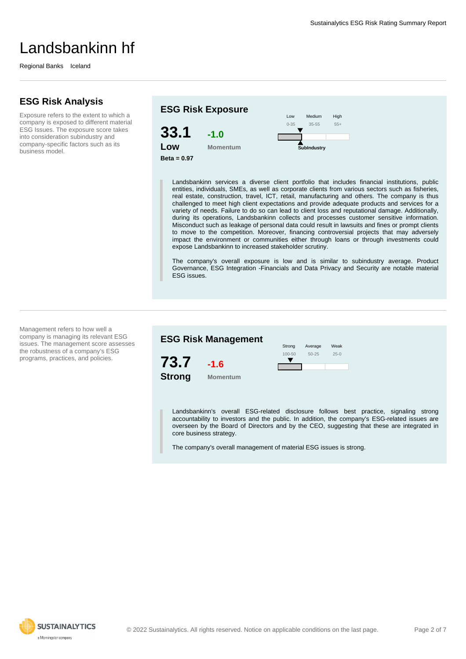Regional Banks Iceland

## **ESG Risk Analysis**

Exposure refers to the extent to which a company is exposed to different material ESG Issues. The exposure score takes into consideration subindustry and company-specific factors such as its business model.



Landsbankinn services a diverse client portfolio that includes financial institutions, public entities, individuals, SMEs, as well as corporate clients from various sectors such as fisheries, real estate, construction, travel, ICT, retail, manufacturing and others. The company is thus challenged to meet high client expectations and provide adequate products and services for a variety of needs. Failure to do so can lead to client loss and reputational damage. Additionally, during its operations, Landsbankinn collects and processes customer sensitive information. Misconduct such as leakage of personal data could result in lawsuits and fines or prompt clients to move to the competition. Moreover, financing controversial projects that may adversely impact the environment or communities either through loans or through investments could expose Landsbankinn to increased stakeholder scrutiny.

The company's overall exposure is low and is similar to subindustry average. Product Governance, ESG Integration -Financials and Data Privacy and Security are notable material ESG issues.

Management refers to how well a company is managing its relevant ESG issues. The management score assesses the robustness of a company's ESG programs, practices, and policies.



Landsbankinn's overall ESG-related disclosure follows best practice, signaling strong accountability to investors and the public. In addition, the company's ESG-related issues are overseen by the Board of Directors and by the CEO, suggesting that these are integrated in core business strategy.

The company's overall management of material ESG issues is strong.

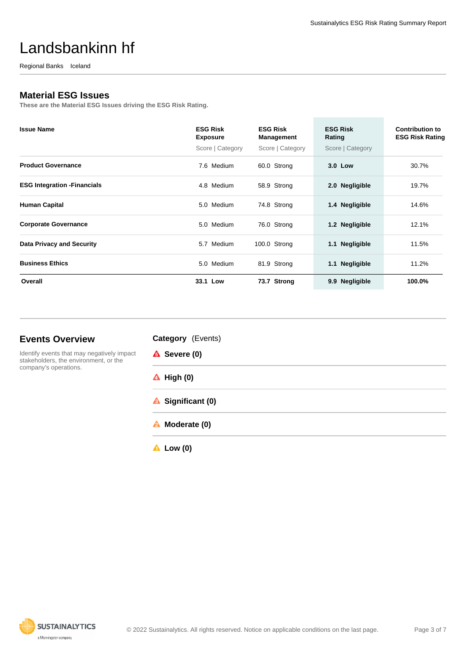Regional Banks Iceland

## **Material ESG Issues**

**These are the Material ESG Issues driving the ESG Risk Rating.**

| <b>Issue Name</b>                   | <b>ESG Risk</b><br><b>Exposure</b><br>Score   Category | <b>ESG Risk</b><br>Management<br>Score   Category | <b>ESG Risk</b><br>Rating<br>Score   Category | <b>Contribution to</b><br><b>ESG Risk Rating</b> |
|-------------------------------------|--------------------------------------------------------|---------------------------------------------------|-----------------------------------------------|--------------------------------------------------|
| <b>Product Governance</b>           | 7.6 Medium                                             | 60.0 Strong                                       | 3.0 Low                                       | 30.7%                                            |
| <b>ESG Integration - Financials</b> | 4.8 Medium                                             | 58.9 Strong                                       | 2.0 Negligible                                | 19.7%                                            |
| <b>Human Capital</b>                | 5.0 Medium                                             | 74.8 Strong                                       | 1.4 Negligible                                | 14.6%                                            |
| <b>Corporate Governance</b>         | 5.0 Medium                                             | 76.0 Strong                                       | 1.2 Negligible                                | 12.1%                                            |
| <b>Data Privacy and Security</b>    | 5.7 Medium                                             | 100.0 Strong                                      | <b>Negligible</b><br>1.1                      | 11.5%                                            |
| <b>Business Ethics</b>              | 5.0 Medium                                             | 81.9 Strong                                       | 1.1 Negligible                                | 11.2%                                            |
| Overall                             | 33.1 Low                                               | 73.7 Strong                                       | <b>Negligible</b><br>9.9 <sub>°</sub>         | 100.0%                                           |

## **Events Overview**

**Category** (Events)

Identify events that may negatively impact stakeholders, the environment, or the company's operations.

| <b>A</b> Severe (0) |  |
|---------------------|--|

- **High (0)**
- **A** Significant (0)
- **Moderate (0)**
- **Low (0)**

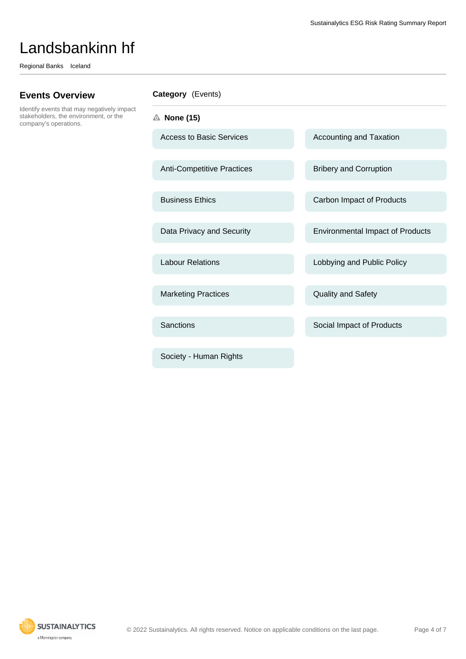Regional Banks Iceland

# **Events Overview**

Identify events that may negatively impact stakeholders, the environment, or the company's operations.

| <b>Category</b> (Events) |  |
|--------------------------|--|
|--------------------------|--|

**None (15)**

Access to Basic Services Accounting and Taxation

Anti-Competitive Practices Bribery and Corruption

Marketing Practices **Constanting Practices** Quality and Safety

Society - Human Rights

Business Ethics **Carbon Impact of Products** Carbon Impact of Products

Data Privacy and Security **Environmental Impact of Products** 

Labour Relations **Lobbying and Public Policy** 

Sanctions Sanctions Sanctions Social Impact of Products

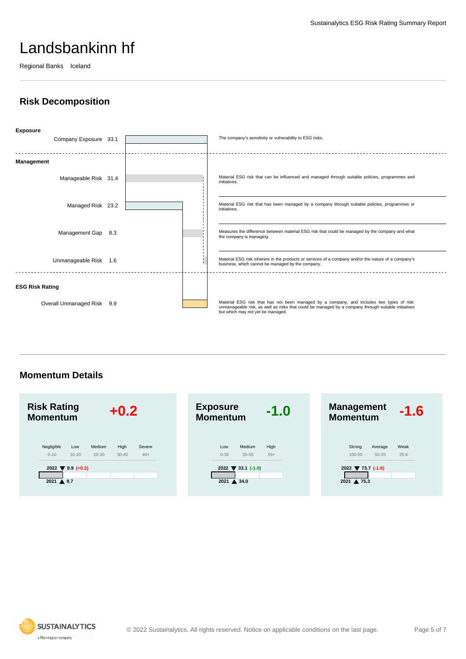Regional Banks Iceland

# **Risk Decomposition**



**Momentum Details**



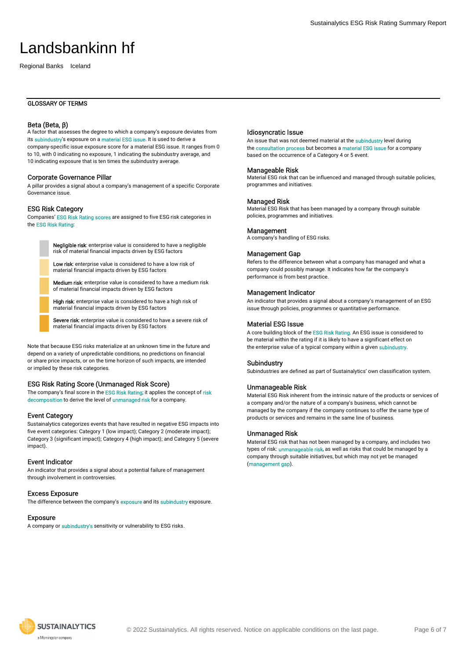Regional Banks Iceland

### GLOSSARY OF TERMS

### Beta (Beta, β)

A factor that assesses the degree to which a company's exposure deviates from its subindustry's exposure on a material ESG issue. It is used to derive a company-specific issue exposure score for a material ESG issue. It ranges from 0 to 10, with 0 indicating no exposure, 1 indicating the subindustry average, and 10 indicating exposure that is ten times the subindustry average.

#### Corporate Governance Pillar

A pillar provides a signal about a company's management of a specific Corporate Governance issue.

#### ESG Risk Category

Companies' ESG Risk Rating scores are assigned to five ESG risk categories in the ESG Risk Rating:

> Negligible risk: enterprise value is considered to have a negligible risk of material financial impacts driven by ESG factors

Low risk: enterprise value is considered to have a low risk of material financial impacts driven by ESG factors

Medium risk: enterprise value is considered to have a medium risk of material financial impacts driven by ESG factors

High risk: enterprise value is considered to have a high risk of material financial impacts driven by ESG factors

Severe risk: enterprise value is considered to have a severe risk of material financial impacts driven by ESG factors

Note that because ESG risks materialize at an unknown time in the future and depend on a variety of unpredictable conditions, no predictions on financial or share price impacts, or on the time horizon of such impacts, are intended or implied by these risk categories.

#### ESG Risk Rating Score (Unmanaged Risk Score)

The company's final score in the ESG Risk Rating; it applies the concept of risk decomposition to derive the level of unmanaged risk for a company.

#### Event Category

Sustainalytics categorizes events that have resulted in negative ESG impacts into five event categories: Category 1 (low impact); Category 2 (moderate impact); Category 3 (significant impact); Category 4 (high impact); and Category 5 (severe impact).

### Event Indicator

An indicator that provides a signal about a potential failure of management through involvement in controversies.

#### Excess Exposure

The difference between the company's **exposure** and its **subindustry** exposure.

#### Exposure

A company or subindustry's sensitivity or vulnerability to ESG risks.

Sustainalytics ESG Risk Rating Summary Report

#### Idiosyncratic Issue

An issue that was not deemed material at the subindustry level during the consultation process but becomes a material ESG issue for a company based on the occurrence of a Category 4 or 5 event.

#### Manageable Risk

Material ESG risk that can be influenced and managed through suitable policies, programmes and initiatives.

#### Managed Risk

Material ESG Risk that has been managed by a company through suitable policies, programmes and initiatives.

#### **Management**

A company's handling of ESG risks.

#### Management Gap

Refers to the difference between what a company has managed and what a company could possibly manage. It indicates how far the company's performance is from best practice.

#### Management Indicator

An indicator that provides a signal about a company's management of an ESG issue through policies, programmes or quantitative performance.

### Material ESG Issue

A core building block of the ESG Risk Rating. An ESG issue is considered to be material within the rating if it is likely to have a significant effect on the enterprise value of a typical company within a given subindustry.

#### Subindustry

Subindustries are defined as part of Sustainalytics' own classification system.

#### Unmanageable Risk

Material ESG Risk inherent from the intrinsic nature of the products or services of a company and/or the nature of a company's business, which cannot be managed by the company if the company continues to offer the same type of products or services and remains in the same line of business.

#### Unmanaged Risk

Material ESG risk that has not been managed by a company, and includes two types of risk: *unmanageable risk*, as well as risks that could be managed by a company through suitable initiatives, but which may not yet be managed (management gap).